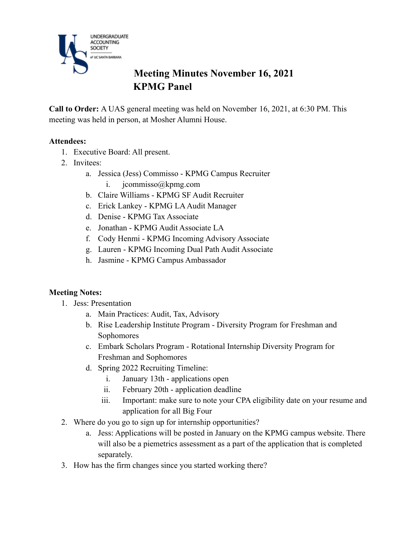

# **Meeting Minutes November 16, 2021 KPMG Panel**

**Call to Order:** A UAS general meeting was held on November 16, 2021, at 6:30 PM. This meeting was held in person, at Mosher Alumni House.

#### **Attendees:**

- 1. Executive Board: All present.
- 2. Invitees:
	- a. Jessica (Jess) Commisso KPMG Campus Recruiter
		- i. jcommisso@kpmg.com
	- b. Claire Williams KPMG SF Audit Recruiter
	- c. Erick Lankey KPMG LA Audit Manager
	- d. Denise KPMG Tax Associate
	- e. Jonathan KPMG Audit Associate LA
	- f. Cody Henmi KPMG Incoming Advisory Associate
	- g. Lauren KPMG Incoming Dual Path Audit Associate
	- h. Jasmine KPMG Campus Ambassador

#### **Meeting Notes:**

- 1. Jess: Presentation
	- a. Main Practices: Audit, Tax, Advisory
	- b. Rise Leadership Institute Program Diversity Program for Freshman and Sophomores
	- c. Embark Scholars Program Rotational Internship Diversity Program for Freshman and Sophomores
	- d. Spring 2022 Recruiting Timeline:
		- i. January 13th applications open
		- ii. February 20th application deadline
		- iii. Important: make sure to note your CPA eligibility date on your resume and application for all Big Four
- 2. Where do you go to sign up for internship opportunities?
	- a. Jess: Applications will be posted in January on the KPMG campus website. There will also be a piemetrics assessment as a part of the application that is completed separately.
- 3. How has the firm changes since you started working there?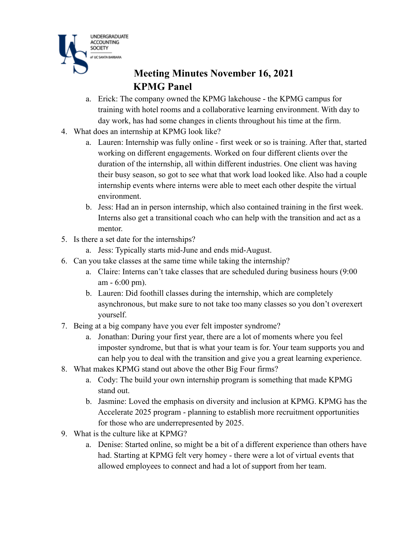

# **Meeting Minutes November 16, 2021 KPMG Panel**

- a. Erick: The company owned the KPMG lakehouse the KPMG campus for training with hotel rooms and a collaborative learning environment. With day to day work, has had some changes in clients throughout his time at the firm.
- 4. What does an internship at KPMG look like?
	- a. Lauren: Internship was fully online first week or so is training. After that, started working on different engagements. Worked on four different clients over the duration of the internship, all within different industries. One client was having their busy season, so got to see what that work load looked like. Also had a couple internship events where interns were able to meet each other despite the virtual environment.
	- b. Jess: Had an in person internship, which also contained training in the first week. Interns also get a transitional coach who can help with the transition and act as a mentor.
- 5. Is there a set date for the internships?
	- a. Jess: Typically starts mid-June and ends mid-August.
- 6. Can you take classes at the same time while taking the internship?
	- a. Claire: Interns can't take classes that are scheduled during business hours (9:00 am - 6:00 pm).
	- b. Lauren: Did foothill classes during the internship, which are completely asynchronous, but make sure to not take too many classes so you don't overexert yourself.
- 7. Being at a big company have you ever felt imposter syndrome?
	- a. Jonathan: During your first year, there are a lot of moments where you feel imposter syndrome, but that is what your team is for. Your team supports you and can help you to deal with the transition and give you a great learning experience.
- 8. What makes KPMG stand out above the other Big Four firms?
	- a. Cody: The build your own internship program is something that made KPMG stand out.
	- b. Jasmine: Loved the emphasis on diversity and inclusion at KPMG. KPMG has the Accelerate 2025 program - planning to establish more recruitment opportunities for those who are underrepresented by 2025.
- 9. What is the culture like at KPMG?
	- a. Denise: Started online, so might be a bit of a different experience than others have had. Starting at KPMG felt very homey - there were a lot of virtual events that allowed employees to connect and had a lot of support from her team.